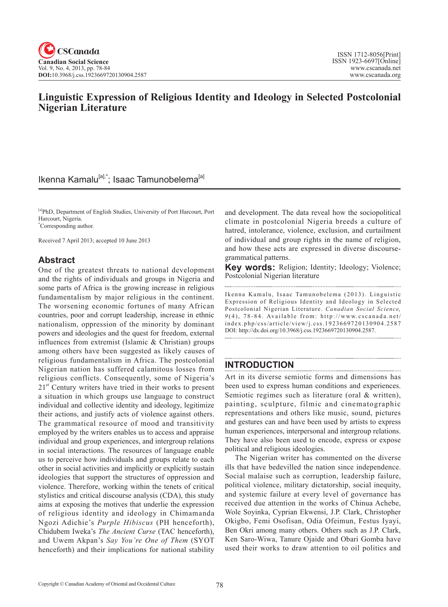# **Linguistic Expression of Religious Identity and Ideology in Selected Postcolonial Nigerian Literature**

# Ikenna Kamalu<sup>[a],\*</sup>; Isaac Tamunobelema<sup>[a]</sup>

[a]PhD, Department of English Studies, University of Port Harcourt, Port Harcourt, Nigeria. \* Corresponding author.

Received 7 April 2013; accepted 10 June 2013

## **Abstract**

One of the greatest threats to national development and the rights of individuals and groups in Nigeria and some parts of Africa is the growing increase in religious fundamentalism by major religious in the continent. The worsening economic fortunes of many African countries, poor and corrupt leadership, increase in ethnic nationalism, oppression of the minority by dominant powers and ideologies and the quest for freedom, external influences from extremist (Islamic & Christian) groups among others have been suggested as likely causes of religious fundamentalism in Africa. The postcolonial Nigerian nation has suffered calamitous losses from religious conflicts. Consequently, some of Nigeria's  $21<sup>st</sup>$  Century writers have tried in their works to present a situation in which groups use language to construct individual and collective identity and ideology, legitimize their actions, and justify acts of violence against others. The grammatical resource of mood and transitivity employed by the writers enables us to access and appraise individual and group experiences, and intergroup relations in social interactions. The resources of language enable us to perceive how individuals and groups relate to each other in social activities and implicitly or explicitly sustain ideologies that support the structures of oppression and violence. Therefore, working within the tenets of critical stylistics and critical discourse analysis (CDA), this study aims at exposing the motives that underlie the expression of religious identity and ideology in Chimamanda Ngozi Adichie's *Purple Hibiscus* (PH henceforth), Chidubem Iweka's *The Ancient Curse* (TAC henceforth), and Uwem Akpan's *Say You're One of Them* (SYOT henceforth) and their implications for national stability

and development. The data reveal how the sociopolitical climate in postcolonial Nigeria breeds a culture of hatred, intolerance, violence, exclusion, and curtailment of individual and group rights in the name of religion, and how these acts are expressed in diverse discoursegrammatical patterns.

**Key words:** Religion; Identity; Ideology; Violence; Postcolonial Nigerian literature 

Ikenna Kamalu, Isaac Tamunobelema (2013). Linguistic Expression of Religious Identity and Ideology in Selected Postcolonial Nigerian Literature. *Canadian Social Science*,  $9(4)$ , 78-84. Available from: http://www.cscanada.net/ index.php/css/article/view/j.css.1923669720130904.2587 DOI: http://dx.doi.org/10.3968/j.css.1923669720130904.2587.

## **INTRODUCTION**

Art in its diverse semiotic forms and dimensions has been used to express human conditions and experiences. Semiotic regimes such as literature (oral & written), painting, sculpture, filmic and cinematographic representations and others like music, sound, pictures and gestures can and have been used by artists to express human experiences, interpersonal and intergroup relations. They have also been used to encode, express or expose political and religious ideologies.

The Nigerian writer has commented on the diverse ills that have bedevilled the nation since independence. Social malaise such as corruption, leadership failure, political violence, military dictatorship, social inequity, and systemic failure at every level of governance has received due attention in the works of Chinua Achebe, Wole Soyinka, Cyprian Ekwensi, J.P. Clark, Christopher Okigbo, Femi Osofisan, Odia Ofeimun, Festus Iyayi, Ben Okri among many others. Others such as J.P. Clark, Ken Saro-Wiwa, Tanure Ojaide and Obari Gomba have used their works to draw attention to oil politics and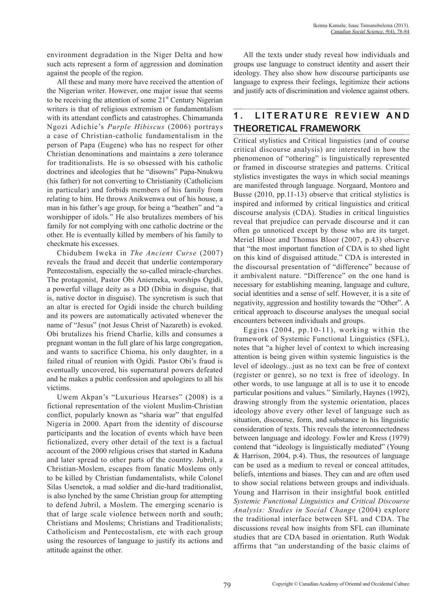environment degradation in the Niger Delta and how such acts represent a form of aggression and domination against the people of the region.

All these and many more have received the attention of the Nigerian writer. However, one major issue that seems to be receiving the attention of some 21<sup>st</sup> Century Nigerian writers is that of religious extremism or fundamentalism with its attendant conflicts and catastrophes. Chimamanda Ngozi Adichie's *Purple Hibiscus* (2006) portrays a case of Christian-catholic fundamentalism in the person of Papa (Eugene) who has no respect for other Christian denominations and maintains a zero tolerance for traditionalists. He is so obsessed with his catholic doctrines and ideologies that he "disowns" Papa-Nnukwu (his father) for not converting to Christianity (Catholicism in particular) and forbids members of his family from relating to him. He throws Anikwenwa out of his house, a man in his father's age group, for being a "heathen" and "a worshipper of idols." He also brutalizes members of his family for not complying with one catholic doctrine or the other. He is eventually killed by members of his family to checkmate his excesses.

Chidubem Iweka in *The Ancient Curse* (2007) reveals the fraud and deceit that underlie contemporary Pentecostalism, especially the so-called miracle-churches. The protagonist, Pastor Obi Aniemeka, worships Ogidi, a powerful village deity as a DD (Dibia in disguise, that is, native doctor in disguise). The syncretism is such that an altar is erected for Ogidi inside the church building and its powers are automatically activated whenever the name of "Jesus" (not Jesus Christ of Nazareth) is evoked. Obi brutalizes his friend Charlie, kills and consumes a pregnant woman in the full glare of his large congregation, and wants to sacrifice Chioma, his only daughter, in a failed ritual of reunion with Ogidi. Pastor Obi's fraud is eventually uncovered, his supernatural powers defeated and he makes a public confession and apologizes to all his victims.

Uwem Akpan's "Luxurious Hearses" (2008) is a fictional representation of the violent Muslim-Christian conflict, popularly known as "sharia war" that engulfed Nigeria in 2000. Apart from the identity of discourse participants and the location of events which have been fictionalized, every other detail of the text is a factual account of the 2000 religious crises that started in Kaduna and later spread to other parts of the country. Jubril, a Christian-Moslem, escapes from fanatic Moslems only to be killed by Christian fundamentalists, while Colonel Silas Usenetok, a mad soldier and die-hard traditionalist, is also lynched by the same Christian group for attempting to defend Jubril, a Moslem. The emerging scenario is that of large scale violence between north and south; Christians and Moslems; Christians and Traditionalists; Catholicism and Pentecostalism, etc with each group using the resources of language to justify its actions and attitude against the other.

All the texts under study reveal how individuals and groups use language to construct identity and assert their ideology. They also show how discourse participants use language to express their feelings, legitimize their actions and justify acts of discrimination and violence against others.

# 1. LITERATURE REVIEW AND **THEORETICAL FRAMEWORK**

Critical stylistics and Critical linguistics (and of course critical discourse analysis) are interested in how the phenomenon of "othering" is linguistically represented or framed in discourse strategies and patterns. Critical stylistics investigates the ways in which social meanings are manifested through language. Norgaard, Montoro and Busse (2010, pp.11-13) observe that critical stylistics is inspired and informed by critical linguistics and critical discourse analysis (CDA). Studies in critical linguistics reveal that prejudice can pervade discourse and it can often go unnoticed except by those who are its target. Meriel Bloor and Thomas Bloor (2007, p.43) observe that "the most important function of CDA is to shed light on this kind of disguised attitude." CDA is interested in the discoursal presentation of "difference" because of it ambivalent nature. "Difference" on the one hand is necessary for establishing meaning, language and culture, social identities and a sense of self. However, it is a site of negativity, aggression and hostility towards the "Other". A critical approach to discourse analyses the unequal social encounters between individuals and groups.

Eggins (2004, pp.10-11), working within the framework of Systemic Functional Linguistics (SFL), notes that "a higher level of context to which increasing attention is being given within systemic linguistics is the level of ideology...just as no text can be free of context (register or genre), so no text is free of ideology. In other words, to use language at all is to use it to encode particular positions and values." Similarly, Haynes (1992), drawing strongly from the systemic orientation, places ideology above every other level of language such as situation, discourse, form, and substance in his linguistic consideration of texts. This reveals the interconnectedness between language and ideology. Fowler and Kress (1979) contend that "ideology is linguistically mediated" (Young & Harrison, 2004, p.4). Thus, the resources of language can be used as a medium to reveal or conceal attitudes, beliefs, intentions and biases. They can and are often used to show social relations between groups and individuals. Young and Harrison in their insightful book entitled *Systemic Functional Linguistics and Critical Discourse Analysis: Studies in Social Change* (2004) explore the traditional interface between SFL and CDA. The discussions reveal how insights from SFL can illuminate studies that are CDA based in orientation. Ruth Wodak affirms that "an understanding of the basic claims of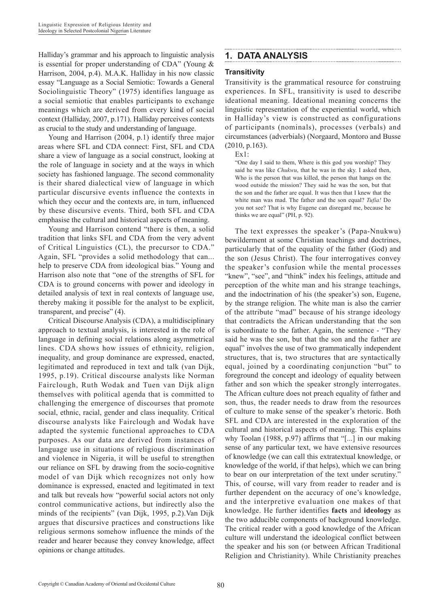Halliday's grammar and his approach to linguistic analysis is essential for proper understanding of CDA" (Young & Harrison, 2004, p.4). M.A.K. Halliday in his now classic essay "Language as a Social Semiotic: Towards a General Sociolinguistic Theory" (1975) identifies language as a social semiotic that enables participants to exchange meanings which are derived from every kind of social context (Halliday, 2007, p.171). Halliday perceives contexts as crucial to the study and understanding of language.

Young and Harrison (2004, p.1) identify three major areas where SFL and CDA connect: First, SFL and CDA share a view of language as a social construct, looking at the role of language in society and at the ways in which society has fashioned language. The second commonality is their shared dialectical view of language in which particular discursive events influence the contexts in which they occur and the contexts are, in turn, influenced by these discursive events. Third, both SFL and CDA emphasise the cultural and historical aspects of meaning.

Young and Harrison contend "there is then, a solid tradition that links SFL and CDA from the very advent of Critical Linguistics (CL), the precursor to CDA." Again, SFL "provides a solid methodology that can... help to preserve CDA from ideological bias." Young and Harrison also note that "one of the strengths of SFL for CDA is to ground concerns with power and ideology in detailed analysis of text in real contexts of language use, thereby making it possible for the analyst to be explicit, transparent, and precise" (4).

Critical Discourse Analysis (CDA), a multidisciplinary approach to textual analysis, is interested in the role of language in defining social relations along asymmetrical lines. CDA shows how issues of ethnicity, religion, inequality, and group dominance are expressed, enacted, legitimated and reproduced in text and talk (van Dijk, 1995, p.19). Critical discourse analysts like Norman Fairclough, Ruth Wodak and Tuen van Dijk align themselves with political agenda that is committed to challenging the emergence of discourses that promote social, ethnic, racial, gender and class inequality. Critical discourse analysts like Fairclough and Wodak have adapted the systemic functional approaches to CDA purposes. As our data are derived from instances of language use in situations of religious discrimination and violence in Nigeria, it will be useful to strengthen our reliance on SFL by drawing from the socio-cognitive model of van Dijk which recognizes not only how dominance is expressed, enacted and legitimated in text and talk but reveals how "powerful social actors not only control communicative actions, but indirectly also the minds of the recipients" (van Dijk, 1995, p.2).Van Dijk argues that discursive practices and constructions like religious sermons somehow influence the minds of the reader and hearer because they convey knowledge, affect opinions or change attitudes.

## **1. DATA ANALYSIS**

## **Transitivity**

Transitivity is the grammatical resource for construing experiences. In SFL, transitivity is used to describe ideational meaning. Ideational meaning concerns the linguistic representation of the experiential world, which in Halliday's view is constructed as configurations of participants (nominals), processes (verbals) and circumstances (adverbials) (Norgaard, Montoro and Busse (2010, p.163).

#### Ex1:

"One day I said to them, Where is this god you worship? They said he was like *Chukwu*, that he was in the sky. I asked then, Who is the person that was killed, the person that hangs on the wood outside the mission? They said he was the son, but that the son and the father are equal. It was then that I knew that the white man was mad. The father and the son equal? *Tufia!* Do you not see? That is why Eugene can disregard me, because he thinks we are equal" (PH, p. 92).

The text expresses the speaker's (Papa-Nnukwu) bewilderment at some Christian teachings and doctrines, particularly that of the equality of the father (God) and the son (Jesus Christ). The four interrogatives convey the speaker's confusion while the mental processes "knew", "see", and "think" index his feelings, attitude and perception of the white man and his strange teachings, and the indoctrination of his (the speaker's) son, Eugene, by the strange religion. The white man is also the carrier of the attribute "mad" because of his strange ideology that contradicts the African understanding that the son is subordinate to the father. Again, the sentence - "They said he was the son, but that the son and the father are equal" involves the use of two grammatically independent structures, that is, two structures that are syntactically equal, joined by a coordinating conjunction "but" to foreground the concept and ideology of equality between father and son which the speaker strongly interrogates. The African culture does not preach equality of father and son, thus, the reader needs to draw from the resources of culture to make sense of the speaker's rhetoric. Both SFL and CDA are interested in the exploration of the cultural and historical aspects of meaning. This explains why Toolan (1988, p.97) affirms that "[...] in our making sense of any particular text, we have extensive resources of knowledge (we can call this extratextual knowledge, or knowledge of the world, if that helps), which we can bring to bear on our interpretation of the text under scrutiny." This, of course, will vary from reader to reader and is further dependent on the accuracy of one's knowledge, and the interpretive evaluation one makes of that knowledge. He further identifies **facts** and **ideology** as the two adducible components of background knowledge. The critical reader with a good knowledge of the African culture will understand the ideological conflict between the speaker and his son (or between African Traditional Religion and Christianity). While Christianity preaches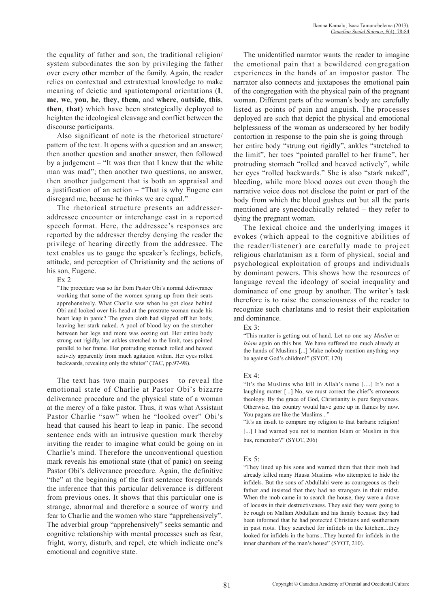the equality of father and son, the traditional religion/ system subordinates the son by privileging the father over every other member of the family. Again, the reader relies on contextual and extratextual knowledge to make meaning of deictic and spatiotemporal orientations (**I**, **me**, **we**, **you**, **he**, **they**, **them**, and **where**, **outside**, **this**, **then**, **that**) which have been strategically deployed to heighten the ideological cleavage and conflict between the discourse participants.

Also significant of note is the rhetorical structure/ pattern of the text. It opens with a question and an answer; then another question and another answer, then followed by a judgement – "It was then that I knew that the white man was mad"; then another two questions, no answer, then another judgement that is both an appraisal and a justification of an action – "That is why Eugene can disregard me, because he thinks we are equal."

The rhetorical structure presents an addresseraddressee encounter or interchange cast in a reported speech format. Here, the addressee's responses are reported by the addresser thereby denying the reader the privilege of hearing directly from the addressee. The text enables us to gauge the speaker's feelings, beliefs, attitude, and perception of Christianity and the actions of his son, Eugene.

#### Ex 2

"The procedure was so far from Pastor Obi's normal deliverance working that some of the women sprang up from their seats apprehensively. What Charlie saw when he got close behind Obi and looked over his head at the prostrate woman made his heart leap in panic? The green cloth had slipped off her body, leaving her stark naked. A pool of blood lay on the stretcher between her legs and more was oozing out. Her entire body strung out rigidly, her ankles stretched to the limit, toes pointed parallel to her frame. Her protruding stomach rolled and heaved actively apparently from much agitation within. Her eyes rolled backwards, revealing only the whites" (TAC, pp.97-98).

The text has two main purposes – to reveal the emotional state of Charlie at Pastor Obi's bizarre deliverance procedure and the physical state of a woman at the mercy of a fake pastor. Thus, it was what Assistant Pastor Charlie "saw" when he "looked over" Obi's head that caused his heart to leap in panic. The second sentence ends with an intrusive question mark thereby inviting the reader to imagine what could be going on in Charlie's mind. Therefore the unconventional question mark reveals his emotional state (that of panic) on seeing Pastor Obi's deliverance procedure. Again, the definitive "the" at the beginning of the first sentence foregrounds the inference that this particular deliverance is different from previous ones. It shows that this particular one is strange, abnormal and therefore a source of worry and fear to Charlie and the women who stare "apprehensively". The adverbial group "apprehensively" seeks semantic and cognitive relationship with mental processes such as fear, fright, worry, disturb, and repel, etc which indicate one's emotional and cognitive state.

The unidentified narrator wants the reader to imagine the emotional pain that a bewildered congregation experiences in the hands of an impostor pastor. The narrator also connects and juxtaposes the emotional pain of the congregation with the physical pain of the pregnant woman. Different parts of the woman's body are carefully listed as points of pain and anguish. The processes deployed are such that depict the physical and emotional helplessness of the woman as underscored by her bodily contortion in response to the pain she is going through – her entire body "strung out rigidly", ankles "stretched to the limit", her toes "pointed parallel to her frame", her protruding stomach "rolled and heaved actively", while her eyes "rolled backwards." She is also "stark naked", bleeding, while more blood oozes out even though the narrative voice does not disclose the point or part of the body from which the blood gushes out but all the parts mentioned are synecdochically related – they refer to dying the pregnant woman.

The lexical choice and the underlying images it evokes (which appeal to the cognitive abilities of the reader/listener) are carefully made to project religious charlatanism as a form of physical, social and psychological exploitation of groups and individuals by dominant powers. This shows how the resources of language reveal the ideology of social inequality and dominance of one group by another. The writer's task therefore is to raise the consciousness of the reader to recognize such charlatans and to resist their exploitation and dominance.

#### Ex 3:

"This matter is getting out of hand. Let no one say *Muslim* or *Islam* again on this bus. We have suffered too much already at the hands of Muslims [...] Make nobody mention anything *wey* be against God's children!" (SYOT, 170).

#### Ex  $4$ .

"It's the Muslims who kill in Allah's name [....] It's not a laughing matter [...] No, we must correct the chief's erroneous theology. By the grace of God, Christianity is pure forgiveness. Otherwise, this country would have gone up in flames by now. You pagans are like the Muslims..."

"It's an insult to compare my religion to that barbaric religion! [...] I had warned you not to mention Islam or Muslim in this bus, remember?" (SYOT, 206)

#### Ex 5:

"They lined up his sons and warned them that their mob had already killed many Hausa Muslims who attempted to hide the infidels. But the sons of Abdullahi were as courageous as their father and insisted that they had no strangers in their midst. When the mob came in to search the house, they were a drove of locusts in their destructiveness. They said they were going to be rough on Mallam Abdullahi and his family because they had been informed that he had protected Christians and southerners in past riots. They searched for infidels in the kitchen...they looked for infidels in the barns...They hunted for infidels in the inner chambers of the man's house" (SYOT, 210).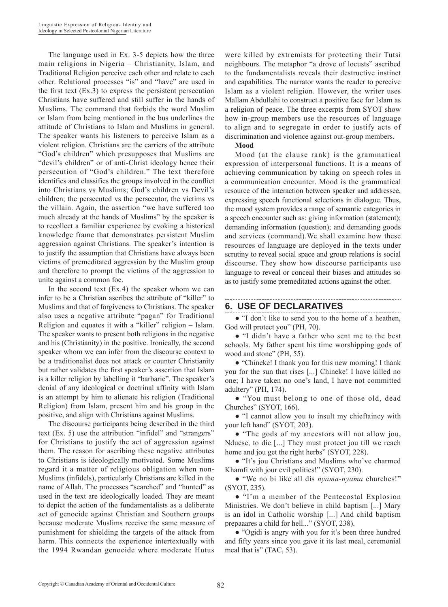The language used in Ex. 3-5 depicts how the three main religions in Nigeria – Christianity, Islam, and Traditional Religion perceive each other and relate to each other. Relational processes "is" and "have" are used in the first text (Ex.3) to express the persistent persecution Christians have suffered and still suffer in the hands of Muslims. The command that forbids the word Muslim or Islam from being mentioned in the bus underlines the attitude of Christians to Islam and Muslims in general. The speaker wants his listeners to perceive Islam as a violent religion. Christians are the carriers of the attribute "God's children" which presupposes that Muslims are "devil's children" or of anti-Christ ideology hence their persecution of "God's children." The text therefore identifies and classifies the groups involved in the conflict into Christians vs Muslims; God's children vs Devil's children; the persecuted vs the persecutor, the victims vs the villain. Again, the assertion "we have suffered too much already at the hands of Muslims" by the speaker is to recollect a familiar experience by evoking a historical knowledge frame that demonstrates persistent Muslim aggression against Christians. The speaker's intention is to justify the assumption that Christians have always been victims of premeditated aggression by the Muslim group and therefore to prompt the victims of the aggression to unite against a common foe.

In the second text  $(Ex.4)$  the speaker whom we can infer to be a Christian ascribes the attribute of "killer" to Muslims and that of forgiveness to Christians. The speaker also uses a negative attribute "pagan" for Traditional Religion and equates it with a "killer" religion – Islam. The speaker wants to present both religions in the negative and his (Christianity) in the positive. Ironically, the second speaker whom we can infer from the discourse context to be a traditionalist does not attack or counter Christianity but rather validates the first speaker's assertion that Islam is a killer religion by labelling it "barbaric". The speaker's denial of any ideological or doctrinal affinity with Islam is an attempt by him to alienate his religion (Traditional Religion) from Islam, present him and his group in the positive, and align with Christians against Muslims.

The discourse participants being described in the third text (Ex. 5) use the attribution "infidel" and "strangers" for Christians to justify the act of aggression against them. The reason for ascribing these negative attributes to Christians is ideologically motivated. Some Muslims regard it a matter of religious obligation when non-Muslims (infidels), particularly Christians are killed in the name of Allah. The processes "searched" and "hunted" as used in the text are ideologically loaded. They are meant to depict the action of the fundamentalists as a deliberate act of genocide against Christian and Southern groups because moderate Muslims receive the same measure of punishment for shielding the targets of the attack from harm. This connects the experience intertextually with the 1994 Rwandan genocide where moderate Hutus

were killed by extremists for protecting their Tutsi neighbours. The metaphor "a drove of locusts" ascribed to the fundamentalists reveals their destructive instinct and capabilities. The narrator wants the reader to perceive Islam as a violent religion. However, the writer uses Mallam Abdullahi to construct a positive face for Islam as a religion of peace. The three excerpts from SYOT show how in-group members use the resources of language to align and to segregate in order to justify acts of discrimination and violence against out-group members.

#### **Mood**

Mood (at the clause rank) is the grammatical expression of interpersonal functions. It is a means of achieving communication by taking on speech roles in a communication encounter. Mood is the grammatical resource of the interaction between speaker and addressee, expressing speech functional selections in dialogue. Thus, the mood system provides a range of semantic categories in a speech encounter such as: giving information (statement); demanding information (question); and demanding goods and services (command).We shall examine how these resources of language are deployed in the texts under scrutiny to reveal social space and group relations is social discourse. They show how discourse participants use language to reveal or conceal their biases and attitudes so as to justify some premeditated actions against the other.

## **6. USE OF DECLARATIVES**

● "I don't like to send you to the home of a heathen, God will protect you" (PH, 70).

● "I didn't have a father who sent me to the best schools. My father spent his time worshipping gods of wood and stone" (PH, 55).

● "Chineke! I thank you for this new morning! I thank you for the sun that rises [...] Chineke! I have killed no one; I have taken no one's land, I have not committed adultery" (PH, 174).

● "You must belong to one of those old, dead Churches" (SYOT, 166).

● "I cannot allow you to insult my chieftaincy with your left hand" (SYOT, 203).

● "The gods of my ancestors will not allow jou, Nduese, to die [...] They must protect jou till we reach home and jou get the right herbs" (SYOT, 228).

● "It's jou Christians and Muslims who've charmed Khamfi with jour evil politics!" (SYOT, 230).

● "We no bi like all dis *nyama-nyama* churches!" (SYOT, 235).

● "I'm a member of the Pentecostal Explosion Ministries. We don't believe in child baptism [...] Mary is an idol in Catholic worship [...] And child baptism prepaaares a child for hell..." (SYOT, 238).

● "Ogidi is angry with you for it's been three hundred and fifty years since you gave it its last meal, ceremonial meal that is" (TAC, 53).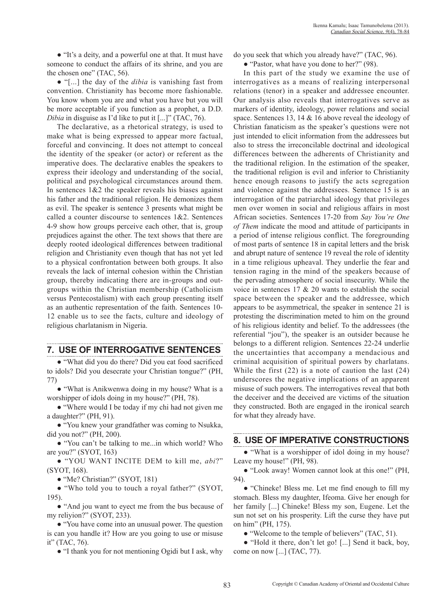● "It's a deity, and a powerful one at that. It must have someone to conduct the affairs of its shrine, and you are the chosen one" (TAC, 56).

● "[...] the day of the *dibia* is vanishing fast from convention. Christianity has become more fashionable. You know whom you are and what you have but you will be more acceptable if you function as a prophet, a D.D. *Dibia* in disguise as I'd like to put it [...]" (TAC, 76).

The declarative, as a rhetorical strategy, is used to make what is being expressed to appear more factual, forceful and convincing. It does not attempt to conceal the identity of the speaker (or actor) or referent as the imperative does. The declarative enables the speakers to express their ideology and understanding of the social, political and psychological circumstances around them. In sentences  $1\&2$  the speaker reveals his biases against his father and the traditional religion. He demonizes them as evil. The speaker is sentence 3 presents what might be called a counter discourse to sentences 1&2. Sentences 4-9 show how groups perceive each other, that is, group prejudices against the other. The text shows that there are deeply rooted ideological differences between traditional religion and Christianity even though that has not yet led to a physical confrontation between both groups. It also reveals the lack of internal cohesion within the Christian group, thereby indicating there are in-groups and outgroups within the Christian membership (Catholicism versus Pentecostalism) with each group presenting itself as an authentic representation of the faith. Sentences 10- 12 enable us to see the facts, culture and ideology of religious charlatanism in Nigeria.

# **7. USE OF INTERROGATIVE SENTENCES**

● "What did you do there? Did you eat food sacrificed to idols? Did you desecrate your Christian tongue?" (PH, 77)

● "What is Anikwenwa doing in my house? What is a worshipper of idols doing in my house?" (PH, 78).

● "Where would I be today if my chi had not given me a daughter?" (PH, 91).

● "You knew your grandfather was coming to Nsukka, did you not?" (PH, 200).

● "You can't be talking to me...in which world? Who are you?" (SYOT, 163)

● "YOU WANT INCITE DEM to kill me, *abi*?" (SYOT, 168).

● "Me? Christian?" (SYOT, 181)

● "Who told you to touch a royal father?" (SYOT, 195).

● "And jou want to eyect me from the bus because of my reliyion?" (SYOT, 233).

• "You have come into an unusual power. The question is can you handle it? How are you going to use or misuse it" (TAC, 76).

● "I thank you for not mentioning Ogidi but I ask, why

do you seek that which you already have?" (TAC, 96).

● "Pastor, what have you done to her?" (98).

In this part of the study we examine the use of interrogatives as a means of realizing interpersonal relations (tenor) in a speaker and addressee encounter. Our analysis also reveals that interrogatives serve as markers of identity, ideology, power relations and social space. Sentences 13, 14 & 16 above reveal the ideology of Christian fanaticism as the speaker's questions were not just intended to elicit information from the addressees but also to stress the irreconcilable doctrinal and ideological differences between the adherents of Christianity and the traditional religion. In the estimation of the speaker, the traditional religion is evil and inferior to Christianity hence enough reasons to justify the acts segregation and violence against the addressees. Sentence 15 is an interrogation of the patriarchal ideology that privileges men over women in social and religious affairs in most African societies. Sentences 17-20 from *Say You're One of Them* indicate the mood and attitude of participants in a period of intense religious conflict. The foregrounding of most parts of sentence 18 in capital letters and the brisk and abrupt nature of sentence 19 reveal the role of identity in a time religious upheaval. They underlie the fear and tension raging in the mind of the speakers because of the pervading atmosphere of social insecurity. While the voice in sentences 17 & 20 wants to establish the social space between the speaker and the addressee, which appears to be asymmetrical, the speaker in sentence 21 is protesting the discrimination meted to him on the ground of his religious identity and belief. To the addressees (the referential "jou"), the speaker is an outsider because he belongs to a different religion. Sentences 22-24 underlie the uncertainties that accompany a mendacious and criminal acquisition of spiritual powers by charlatans. While the first (22) is a note of caution the last (24) underscores the negative implications of an apparent misuse of such powers. The interrogatives reveal that both the deceiver and the deceived are victims of the situation they constructed. Both are engaged in the ironical search for what they already have.

## **8. USE OF IMPERATIVE CONSTRUCTIONS**

• "What is a worshipper of idol doing in my house? Leave my house!" (PH, 98).

● "Look away! Women cannot look at this one!" (PH, 94).

● "Chineke! Bless me. Let me find enough to fill my stomach. Bless my daughter, Ifeoma. Give her enough for her family [...] Chineke! Bless my son, Eugene. Let the sun not set on his prosperity. Lift the curse they have put on him" (PH, 175).

● "Welcome to the temple of believers" (TAC, 51).

● "Hold it there, don't let go! [...] Send it back, boy, come on now [...] (TAC, 77).